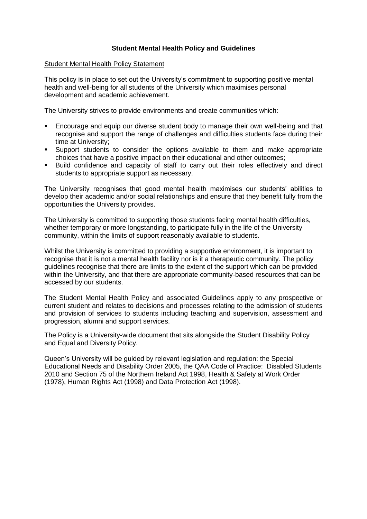# **Student Mental Health Policy and Guidelines**

### Student Mental Health Policy Statement

This policy is in place to set out the University's commitment to supporting positive mental health and well-being for all students of the University which maximises personal development and academic achievement.

The University strives to provide environments and create communities which:

- Encourage and equip our diverse student body to manage their own well-being and that recognise and support the range of challenges and difficulties students face during their time at University;
- Support students to consider the options available to them and make appropriate choices that have a positive impact on their educational and other outcomes;
- Build confidence and capacity of staff to carry out their roles effectively and direct students to appropriate support as necessary.

The University recognises that good mental health maximises our students' abilities to develop their academic and/or social relationships and ensure that they benefit fully from the opportunities the University provides.

The University is committed to supporting those students facing mental health difficulties, whether temporary or more longstanding, to participate fully in the life of the University community, within the limits of support reasonably available to students.

Whilst the University is committed to providing a supportive environment, it is important to recognise that it is not a mental health facility nor is it a therapeutic community. The policy guidelines recognise that there are limits to the extent of the support which can be provided within the University, and that there are appropriate community-based resources that can be accessed by our students.

The Student Mental Health Policy and associated Guidelines apply to any prospective or current student and relates to decisions and processes relating to the admission of students and provision of services to students including teaching and supervision, assessment and progression, alumni and support services.

The Policy is a University-wide document that sits alongside the Student Disability Policy and Equal and Diversity Policy.

Queen's University will be guided by relevant legislation and regulation: the Special Educational Needs and Disability Order 2005, the QAA Code of Practice: Disabled Students 2010 and Section 75 of the Northern Ireland Act 1998, Health & Safety at Work Order (1978), Human Rights Act (1998) and Data Protection Act (1998).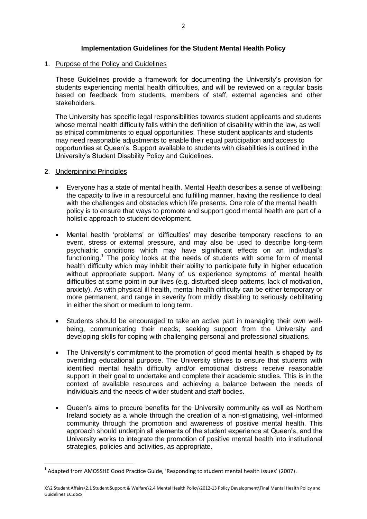# **Implementation Guidelines for the Student Mental Health Policy**

### 1. Purpose of the Policy and Guidelines

These Guidelines provide a framework for documenting the University's provision for students experiencing mental health difficulties, and will be reviewed on a regular basis based on feedback from students, members of staff, external agencies and other stakeholders.

The University has specific legal responsibilities towards student applicants and students whose mental health difficulty falls within the definition of disability within the law, as well as ethical commitments to equal opportunities. These student applicants and students may need reasonable adjustments to enable their equal participation and access to opportunities at Queen's. Support available to students with disabilities is outlined in the University's Student Disability Policy and Guidelines.

#### 2. Underpinning Principles

**.** 

- Everyone has a state of mental health. Mental Health describes a sense of wellbeing; the capacity to live in a resourceful and fulfilling manner, having the resilience to deal with the challenges and obstacles which life presents. One role of the mental health policy is to ensure that ways to promote and support good mental health are part of a holistic approach to student development.
- Mental health 'problems' or 'difficulties' may describe temporary reactions to an event, stress or external pressure, and may also be used to describe long-term psychiatric conditions which may have significant effects on an individual's functioning.<sup>1</sup> The policy looks at the needs of students with some form of mental health difficulty which may inhibit their ability to participate fully in higher education without appropriate support. Many of us experience symptoms of mental health difficulties at some point in our lives (e.g. disturbed sleep patterns, lack of motivation, anxiety). As with physical ill health, mental health difficulty can be either temporary or more permanent, and range in severity from mildly disabling to seriously debilitating in either the short or medium to long term.
- Students should be encouraged to take an active part in managing their own wellbeing, communicating their needs, seeking support from the University and developing skills for coping with challenging personal and professional situations.
- The University's commitment to the promotion of good mental health is shaped by its overriding educational purpose. The University strives to ensure that students with identified mental health difficulty and/or emotional distress receive reasonable support in their goal to undertake and complete their academic studies. This is in the context of available resources and achieving a balance between the needs of individuals and the needs of wider student and staff bodies.
- Queen's aims to procure benefits for the University community as well as Northern Ireland society as a whole through the creation of a non-stigmatising, well-informed community through the promotion and awareness of positive mental health. This approach should underpin all elements of the student experience at Queen's, and the University works to integrate the promotion of positive mental health into institutional strategies, policies and activities, as appropriate.

 $<sup>1</sup>$  Adapted from AMOSSHE Good Practice Guide, 'Responding to student mental health issues' (2007).</sup>

X:\2 Student Affairs\2.1 Student Support & Welfare\2.4 Mental Health Policy\2012-13 Policy Development\Final Mental Health Policy and Guidelines EC.docx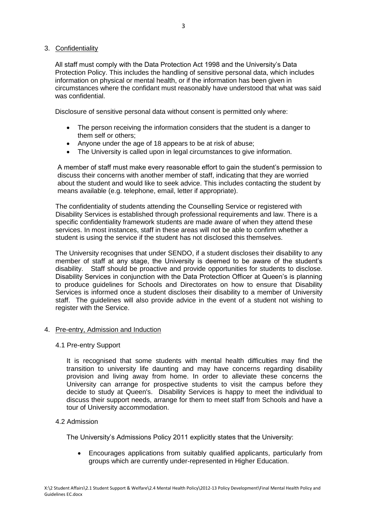# 3. Confidentiality

All staff must comply with the Data Protection Act 1998 and the University's Data Protection Policy. This includes the handling of sensitive personal data, which includes information on physical or mental health, or if the information has been given in circumstances where the confidant must reasonably have understood that what was said was confidential.

Disclosure of sensitive personal data without consent is permitted only where:

- The person receiving the information considers that the student is a danger to them self or others;
- Anyone under the age of 18 appears to be at risk of abuse;
- The University is called upon in legal circumstances to give information.

A member of staff must make every reasonable effort to gain the student's permission to discuss their concerns with another member of staff, indicating that they are worried about the student and would like to seek advice. This includes contacting the student by means available (e.g. telephone, email, letter if appropriate).

The confidentiality of students attending the Counselling Service or registered with Disability Services is established through professional requirements and law. There is a specific confidentiality framework students are made aware of when they attend these services. In most instances, staff in these areas will not be able to confirm whether a student is using the service if the student has not disclosed this themselves.

The University recognises that under SENDO, if a student discloses their disability to any member of staff at any stage, the University is deemed to be aware of the student's disability. Staff should be proactive and provide opportunities for students to disclose. Disability Services in conjunction with the Data Protection Officer at Queen's is planning to produce guidelines for Schools and Directorates on how to ensure that Disability Services is informed once a student discloses their disability to a member of University staff. The guidelines will also provide advice in the event of a student not wishing to register with the Service.

# 4. Pre-entry, Admission and Induction

### 4.1 Pre-entry Support

It is recognised that some students with mental health difficulties may find the transition to university life daunting and may have concerns regarding disability provision and living away from home. In order to alleviate these concerns the University can arrange for prospective students to visit the campus before they decide to study at Queen's. Disability Services is happy to meet the individual to discuss their support needs, arrange for them to meet staff from Schools and have a tour of University accommodation.

# 4.2 Admission

The University's Admissions Policy 2011 explicitly states that the University:

 Encourages applications from suitably qualified applicants, particularly from groups which are currently under-represented in Higher Education.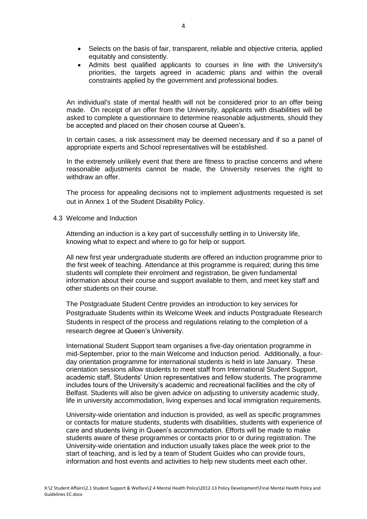- Selects on the basis of fair, transparent, reliable and objective criteria, applied equitably and consistently.
- Admits best qualified applicants to courses in line with the University's priorities, the targets agreed in academic plans and within the overall constraints applied by the government and professional bodies.

An individual's state of mental health will not be considered prior to an offer being made. On receipt of an offer from the University, applicants with disabilities will be asked to complete a questionnaire to determine reasonable adjustments, should they be accepted and placed on their chosen course at Queen's.

In certain cases, a risk assessment may be deemed necessary and if so a panel of appropriate experts and School representatives will be established.

In the extremely unlikely event that there are fitness to practise concerns and where reasonable adjustments cannot be made, the University reserves the right to withdraw an offer.

The process for appealing decisions not to implement adjustments requested is set out in Annex 1 of the Student Disability Policy.

4.3 Welcome and Induction

Attending an induction is a key part of successfully settling in to University life, knowing what to expect and where to go for help or support.

All new first year undergraduate students are offered an induction programme prior to the first week of teaching. Attendance at this programme is required; during this time students will complete their enrolment and registration, be given fundamental information about their course and support available to them, and meet key staff and other students on their course.

The Postgraduate Student Centre provides an introduction to key services for Postgraduate Students within its Welcome Week and inducts Postgraduate Research Students in respect of the process and regulations relating to the completion of a research degree at Queen's University.

International Student Support team organises a five-day orientation programme in mid-September, prior to the main Welcome and Induction period. Additionally, a fourday orientation programme for international students is held in late January. These orientation sessions allow students to meet staff from International Student Support, academic staff, Students' Union representatives and fellow students. The programme includes tours of the University's academic and recreational facilities and the city of Belfast. Students will also be given advice on adjusting to university academic study, life in university accommodation, living expenses and local immigration requirements.

University-wide orientation and induction is provided, as well as specific programmes or contacts for mature students, students with disabilities, students with experience of care and students living in Queen's accommodation. Efforts will be made to make students aware of these programmes or contacts prior to or during registration. The University-wide orientation and induction usually takes place the week prior to the start of teaching, and is led by a team of Student Guides who can provide tours, information and host events and activities to help new students meet each other.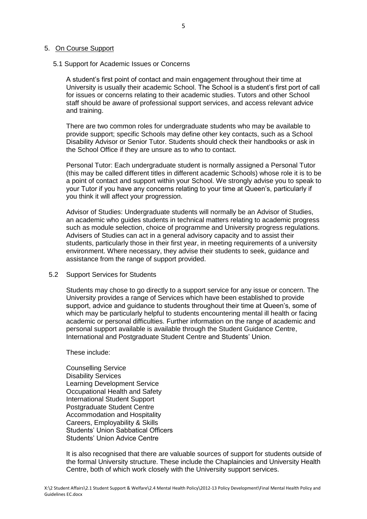#### 5. On Course Support

#### 5.1 Support for Academic Issues or Concerns

A student's first point of contact and main engagement throughout their time at University is usually their academic School. The School is a student's first port of call for issues or concerns relating to their academic studies. Tutors and other School staff should be aware of professional support services, and access relevant advice and training.

There are two common roles for undergraduate students who may be available to provide support; specific Schools may define other key contacts, such as a School Disability Advisor or Senior Tutor. Students should check their handbooks or ask in the School Office if they are unsure as to who to contact.

Personal Tutor: Each undergraduate student is normally assigned a Personal Tutor (this may be called different titles in different academic Schools) whose role it is to be a point of contact and support within your School. We strongly advise you to speak to your Tutor if you have any concerns relating to your time at Queen's, particularly if you think it will affect your progression.

Advisor of Studies: Undergraduate students will normally be an Advisor of Studies, an academic who guides students in technical matters relating to academic progress such as module selection, choice of programme and University progress regulations. Advisers of Studies can act in a general advisory capacity and to assist their students, particularly those in their first year, in meeting requirements of a university environment. Where necessary, they advise their students to seek, guidance and assistance from the range of support provided.

### 5.2 Support Services for Students

Students may chose to go directly to a support service for any issue or concern. The University provides a range of Services which have been established to provide support, advice and guidance to students throughout their time at Queen's, some of which may be particularly helpful to students encountering mental ill health or facing academic or personal difficulties. Further information on the range of academic and personal support available is available through the Student Guidance Centre, International and Postgraduate Student Centre and Students' Union.

#### These include:

Counselling Service Disability Services Learning Development Service Occupational Health and Safety International Student Support Postgraduate Student Centre Accommodation and Hospitality Careers, Employability & Skills Students' Union Sabbatical Officers Students' Union Advice Centre

It is also recognised that there are valuable sources of support for students outside of the formal University structure. These include the Chaplaincies and University Health Centre, both of which work closely with the University support services.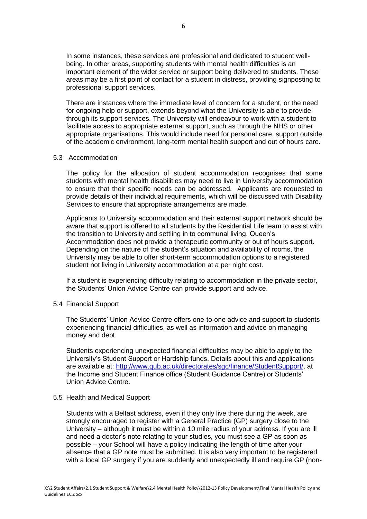In some instances, these services are professional and dedicated to student wellbeing. In other areas, supporting students with mental health difficulties is an important element of the wider service or support being delivered to students. These areas may be a first point of contact for a student in distress, providing signposting to professional support services.

There are instances where the immediate level of concern for a student, or the need for ongoing help or support, extends beyond what the University is able to provide through its support services. The University will endeavour to work with a student to facilitate access to appropriate external support, such as through the NHS or other appropriate organisations. This would include need for personal care, support outside of the academic environment, long-term mental health support and out of hours care.

#### 5.3 Accommodation

The policy for the allocation of student accommodation recognises that some students with mental health disabilities may need to live in University accommodation to ensure that their specific needs can be addressed. Applicants are requested to provide details of their individual requirements, which will be discussed with Disability Services to ensure that appropriate arrangements are made.

Applicants to University accommodation and their external support network should be aware that support is offered to all students by the Residential Life team to assist with the transition to University and settling in to communal living. Queen's Accommodation does not provide a therapeutic community or out of hours support. Depending on the nature of the student's situation and availability of rooms, the University may be able to offer short-term accommodation options to a registered student not living in University accommodation at a per night cost.

If a student is experiencing difficulty relating to accommodation in the private sector, the Students' Union Advice Centre can provide support and advice.

5.4 Financial Support

The Students' Union Advice Centre offers one-to-one advice and support to students experiencing financial difficulties, as well as information and advice on managing money and debt.

Students experiencing unexpected financial difficulties may be able to apply to the University's Student Support or Hardship funds. Details about this and applications are available at: [http://www.qub.ac.uk/directorates/sgc/finance/StudentSupport/,](http://www.qub.ac.uk/directorates/sgc/finance/StudentSupport/) at the Income and Student Finance office (Student Guidance Centre) or Students' Union Advice Centre.

### 5.5 Health and Medical Support

Students with a Belfast address, even if they only live there during the week, are strongly encouraged to register with a General Practice (GP) surgery close to the University – although it must be within a 10 mile radius of your address. If you are ill and need a doctor's note relating to your studies, you must see a GP as soon as possible – your School will have a policy indicating the length of time after your absence that a GP note must be submitted. It is also very important to be registered with a local GP surgery if you are suddenly and unexpectedly ill and require GP (non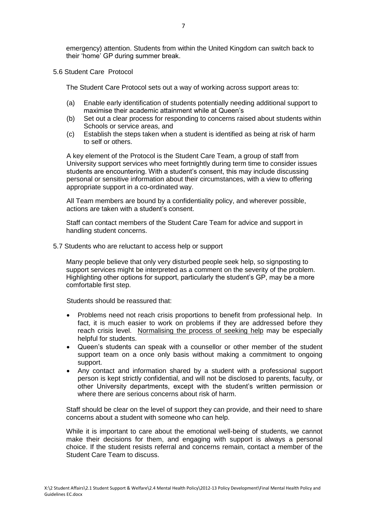emergency) attention. Students from within the United Kingdom can switch back to their 'home' GP during summer break.

5.6 Student Care Protocol

The Student Care Protocol sets out a way of working across support areas to:

- (a) Enable early identification of students potentially needing additional support to maximise their academic attainment while at Queen's
- (b) Set out a clear process for responding to concerns raised about students within Schools or service areas, and
- (c) Establish the steps taken when a student is identified as being at risk of harm to self or others.

A key element of the Protocol is the Student Care Team, a group of staff from University support services who meet fortnightly during term time to consider issues students are encountering. With a student's consent, this may include discussing personal or sensitive information about their circumstances, with a view to offering appropriate support in a co-ordinated way.

All Team members are bound by a confidentiality policy, and wherever possible, actions are taken with a student's consent.

Staff can contact members of the Student Care Team for advice and support in handling student concerns.

5.7 Students who are reluctant to access help or support

Many people believe that only very disturbed people seek help, so signposting to support services might be interpreted as a comment on the severity of the problem. Highlighting other options for support, particularly the student's GP, may be a more comfortable first step.

Students should be reassured that:

- Problems need not reach crisis proportions to benefit from professional help. In fact, it is much easier to work on problems if they are addressed before they reach crisis level. Normalising the process of seeking help may be especially helpful for students.
- Queen's students can speak with a counsellor or other member of the student support team on a once only basis without making a commitment to ongoing support.
- Any contact and information shared by a student with a professional support person is kept strictly confidential, and will not be disclosed to parents, faculty, or other University departments, except with the student's written permission or where there are serious concerns about risk of harm.

Staff should be clear on the level of support they can provide, and their need to share concerns about a student with someone who can help.

While it is important to care about the emotional well-being of students, we cannot make their decisions for them, and engaging with support is always a personal choice. If the student resists referral and concerns remain, contact a member of the Student Care Team to discuss.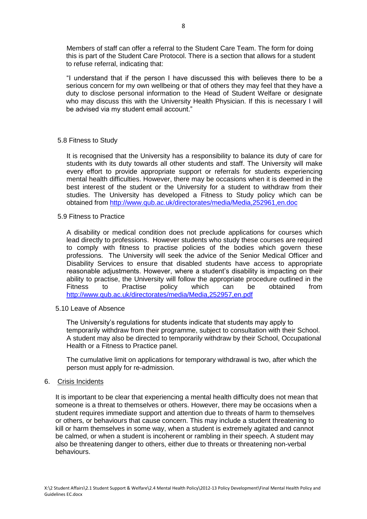Members of staff can offer a referral to the Student Care Team. The form for doing this is part of the Student Care Protocol. There is a section that allows for a student to refuse referral, indicating that:

"I understand that if the person I have discussed this with believes there to be a serious concern for my own wellbeing or that of others they may feel that they have a duty to disclose personal information to the Head of Student Welfare or designate who may discuss this with the University Health Physician. If this is necessary I will be advised via my student email account."

### 5.8 Fitness to Study

It is recognised that the University has a responsibility to balance its duty of care for students with its duty towards all other students and staff. The University will make every effort to provide appropriate support or referrals for students experiencing mental health difficulties. However, there may be occasions when it is deemed in the best interest of the student or the University for a student to withdraw from their studies. The University has developed a Fitness to Study policy which can be obtained from<http://www.qub.ac.uk/directorates/media/Media,252961,en.doc>

# 5.9 Fitness to Practice

A disability or medical condition does not preclude applications for courses which lead directly to professions. However students who study these courses are required to comply with fitness to practise policies of the bodies which govern these professions. The University will seek the advice of the Senior Medical Officer and Disability Services to ensure that disabled students have access to appropriate reasonable adjustments. However, where a student's disability is impacting on their ability to practise, the University will follow the appropriate procedure outlined in the Fitness to Practise policy which can be obtained from <http://www.qub.ac.uk/directorates/media/Media,252957,en.pdf>

### 5.10 Leave of Absence

The University's regulations for students indicate that students may apply to temporarily withdraw from their programme, subject to consultation with their School. A student may also be directed to temporarily withdraw by their School, Occupational Health or a Fitness to Practice panel.

The cumulative limit on applications for temporary withdrawal is two, after which the person must apply for re-admission.

### 6. Crisis Incidents

It is important to be clear that experiencing a mental health difficulty does not mean that someone is a threat to themselves or others. However, there may be occasions when a student requires immediate support and attention due to threats of harm to themselves or others, or behaviours that cause concern. This may include a student threatening to kill or harm themselves in some way, when a student is extremely agitated and cannot be calmed, or when a student is incoherent or rambling in their speech. A student may also be threatening danger to others, either due to threats or threatening non-verbal behaviours.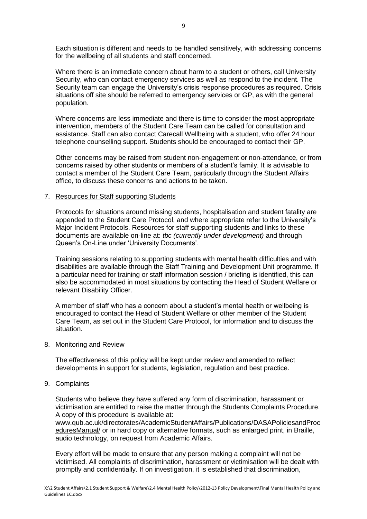Each situation is different and needs to be handled sensitively, with addressing concerns for the wellbeing of all students and staff concerned.

Where there is an immediate concern about harm to a student or others, call University Security, who can contact emergency services as well as respond to the incident. The Security team can engage the University's crisis response procedures as required. Crisis situations off site should be referred to emergency services or GP, as with the general population.

Where concerns are less immediate and there is time to consider the most appropriate intervention, members of the Student Care Team can be called for consultation and assistance. Staff can also contact Carecall Wellbeing with a student, who offer 24 hour telephone counselling support. Students should be encouraged to contact their GP.

Other concerns may be raised from student non-engagement or non-attendance, or from concerns raised by other students or members of a student's family. It is advisable to contact a member of the Student Care Team, particularly through the Student Affairs office, to discuss these concerns and actions to be taken.

### 7. Resources for Staff supporting Students

Protocols for situations around missing students, hospitalisation and student fatality are appended to the Student Care Protocol, and where appropriate refer to the University's Major Incident Protocols. Resources for staff supporting students and links to these documents are available on-line at: *tbc (currently under development)* and through Queen's On-Line under 'University Documents'.

Training sessions relating to supporting students with mental health difficulties and with disabilities are available through the Staff Training and Development Unit programme. If a particular need for training or staff information session / briefing is identified, this can also be accommodated in most situations by contacting the Head of Student Welfare or relevant Disability Officer.

A member of staff who has a concern about a student's mental health or wellbeing is encouraged to contact the Head of Student Welfare or other member of the Student Care Team, as set out in the Student Care Protocol, for information and to discuss the situation.

### 8. Monitoring and Review

The effectiveness of this policy will be kept under review and amended to reflect developments in support for students, legislation, regulation and best practice.

### 9. Complaints

Students who believe they have suffered any form of discrimination, harassment or victimisation are entitled to raise the matter through the Students Complaints Procedure. A copy of this procedure is available at:

[www.qub.ac.uk/directorates/AcademicStudentAffairs/Publications/DASAPoliciesandProc](http://www.qub.ac.uk/directorates/AcademicStudentAffairs/Publications/DASAPoliciesandProceduresManual/) [eduresManual/](http://www.qub.ac.uk/directorates/AcademicStudentAffairs/Publications/DASAPoliciesandProceduresManual/) or in hard copy or alternative formats, such as enlarged print, in Braille, audio technology, on request from Academic Affairs.

Every effort will be made to ensure that any person making a complaint will not be victimised. All complaints of discrimination, harassment or victimisation will be dealt with promptly and confidentially. If on investigation, it is established that discrimination,